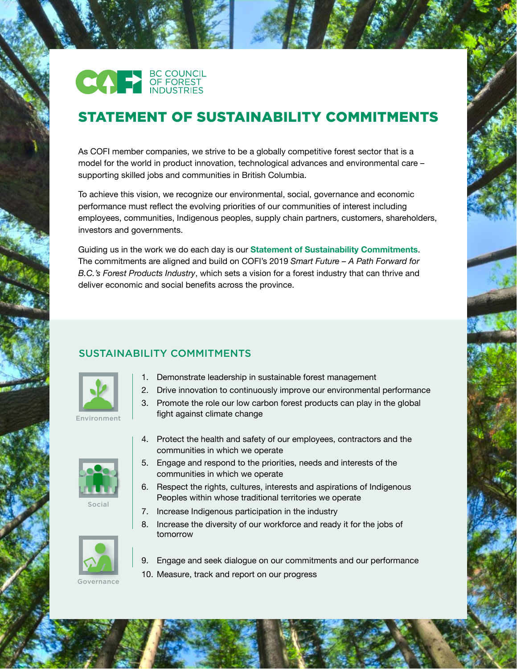

## STATEMENT OF SUSTAINABILITY COMMITMENTS

As COFI member companies, we strive to be a globally competitive forest sector that is a model for the world in product innovation, technological advances and environmental care – supporting skilled jobs and communities in British Columbia.

To achieve this vision, we recognize our environmental, social, governance and economic performance must reflect the evolving priorities of our communities of interest including employees, communities, Indigenous peoples, supply chain partners, customers, shareholders, investors and governments.

Guiding us in the work we do each day is our **Statement of Sustainability Commitments**. The commitments are aligned and build on COFI's 2019 *Smart Future – A Path Forward for B.C.'s Forest Products Industry*, which sets a vision for a forest industry that can thrive and deliver economic and social benefits across the province.

## SUSTAINABILITY COMMITMENTS



- 1. Demonstrate leadership in sustainable forest management
- 2. Drive innovation to continuously improve our environmental performance
- 3. Promote the role our low carbon forest products can play in the global fight against climate change



Social





- communities in which we operate 5. Engage and respond to the priorities, needs and interests of the
- communities in which we operate
	- 6. Respect the rights, cultures, interests and aspirations of Indigenous Peoples within whose traditional territories we operate
	- 7. Increase Indigenous participation in the industry
	- 8. Increase the diversity of our workforce and ready it for the jobs of tomorrow



**Governance** 

- 9. Engage and seek dialogue on our commitments and our performance
- 10. Measure, track and report on our progress